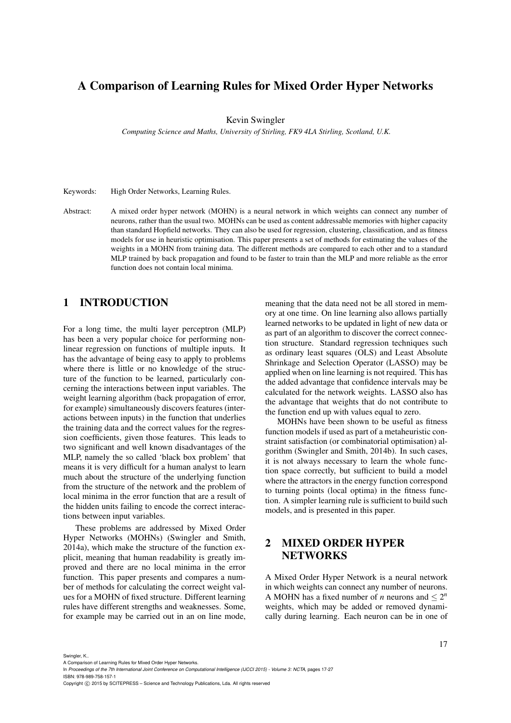# A Comparison of Learning Rules for Mixed Order Hyper Networks

Kevin Swingler

*Computing Science and Maths, University of Stirling, FK9 4LA Stirling, Scotland, U.K.*

Keywords: High Order Networks, Learning Rules.

Abstract: A mixed order hyper network (MOHN) is a neural network in which weights can connect any number of neurons, rather than the usual two. MOHNs can be used as content addressable memories with higher capacity than standard Hopfield networks. They can also be used for regression, clustering, classification, and as fitness models for use in heuristic optimisation. This paper presents a set of methods for estimating the values of the weights in a MOHN from training data. The different methods are compared to each other and to a standard MLP trained by back propagation and found to be faster to train than the MLP and more reliable as the error function does not contain local minima.

## 1 INTRODUCTION

For a long time, the multi layer perceptron (MLP) has been a very popular choice for performing nonlinear regression on functions of multiple inputs. It has the advantage of being easy to apply to problems where there is little or no knowledge of the structure of the function to be learned, particularly concerning the interactions between input variables. The weight learning algorithm (back propagation of error, for example) simultaneously discovers features (interactions between inputs) in the function that underlies the training data and the correct values for the regression coefficients, given those features. This leads to two significant and well known disadvantages of the MLP, namely the so called 'black box problem' that means it is very difficult for a human analyst to learn much about the structure of the underlying function from the structure of the network and the problem of local minima in the error function that are a result of the hidden units failing to encode the correct interactions between input variables.

These problems are addressed by Mixed Order Hyper Networks (MOHNs) (Swingler and Smith, 2014a), which make the structure of the function explicit, meaning that human readability is greatly improved and there are no local minima in the error function. This paper presents and compares a number of methods for calculating the correct weight values for a MOHN of fixed structure. Different learning rules have different strengths and weaknesses. Some, for example may be carried out in an on line mode, meaning that the data need not be all stored in memory at one time. On line learning also allows partially learned networks to be updated in light of new data or as part of an algorithm to discover the correct connection structure. Standard regression techniques such as ordinary least squares (OLS) and Least Absolute Shrinkage and Selection Operator (LASSO) may be applied when on line learning is not required. This has the added advantage that confidence intervals may be calculated for the network weights. LASSO also has the advantage that weights that do not contribute to the function end up with values equal to zero.

MOHNs have been shown to be useful as fitness function models if used as part of a metaheuristic constraint satisfaction (or combinatorial optimisation) algorithm (Swingler and Smith, 2014b). In such cases, it is not always necessary to learn the whole function space correctly, but sufficient to build a model where the attractors in the energy function correspond to turning points (local optima) in the fitness function. A simpler learning rule is sufficient to build such models, and is presented in this paper.

# 2 MIXED ORDER HYPER **NETWORKS**

A Mixed Order Hyper Network is a neural network in which weights can connect any number of neurons. A MOHN has a fixed number of *n* neurons and  $\leq 2^n$ weights, which may be added or removed dynamically during learning. Each neuron can be in one of

Swingler, K..

In *Proceedings of the 7th International Joint Conference on Computational Intelligence (IJCCI 2015) - Volume 3: NCTA*, pages 17-27 ISBN: 978-989-758-157-1

Copyright C 2015 by SCITEPRESS - Science and Technology Publications, Lda. All rights reserved

A Comparison of Learning Rules for Mixed Order Hyper Networks.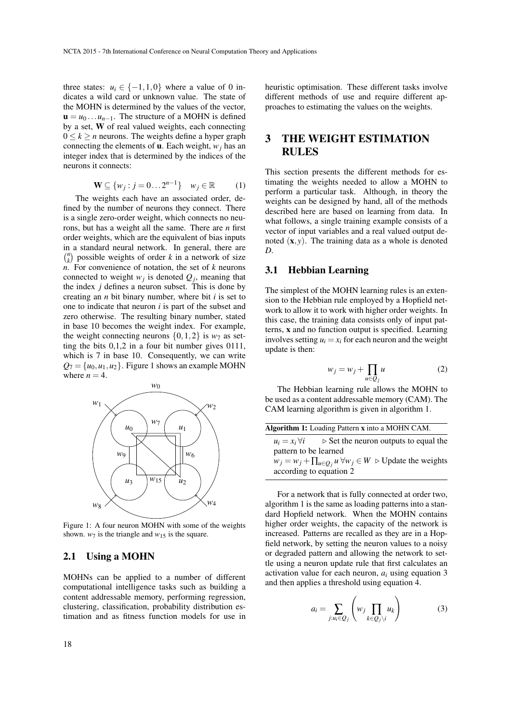three states:  $u_i \in \{-1, 1, 0\}$  where a value of 0 indicates a wild card or unknown value. The state of the MOHN is determined by the values of the vector,  $\mathbf{u} = u_0 \dots u_{n-1}$ . The structure of a MOHN is defined by a set, W of real valued weights, each connecting  $0 \le k \ge n$  neurons. The weights define a hyper graph connecting the elements of  $\bf{u}$ . Each weight,  $w_i$  has an integer index that is determined by the indices of the neurons it connects:

$$
\mathbf{W} \subseteq \{w_j : j = 0 \dots 2^{n-1}\} \quad w_j \in \mathbb{R} \tag{1}
$$

The weights each have an associated order, defined by the number of neurons they connect. There is a single zero-order weight, which connects no neurons, but has a weight all the same. There are *n* first order weights, which are the equivalent of bias inputs in a standard neural network. In general, there are  $\binom{n}{k}$  possible weights of order *k* in a network of size *n*. For convenience of notation, the set of *k* neurons connected to weight  $w_j$  is denoted  $Q_j$ , meaning that the index *j* defines a neuron subset. This is done by creating an *n* bit binary number, where bit *i* is set to one to indicate that neuron *i* is part of the subset and zero otherwise. The resulting binary number, stated in base 10 becomes the weight index. For example, the weight connecting neurons  $\{0,1,2\}$  is  $w_7$  as setting the bits 0,1,2 in a four bit number gives 0111, which is 7 in base 10. Consequently, we can write  $Q_7 = \{u_0, u_1, u_2\}$ . Figure 1 shows an example MOHN where  $n = 4$ .



Figure 1: A four neuron MOHN with some of the weights shown.  $w_7$  is the triangle and  $w_{15}$  is the square.

### 2.1 Using a MOHN

MOHNs can be applied to a number of different computational intelligence tasks such as building a content addressable memory, performing regression, clustering, classification, probability distribution estimation and as fitness function models for use in

heuristic optimisation. These different tasks involve different methods of use and require different approaches to estimating the values on the weights.

## 3 THE WEIGHT ESTIMATION RULES

This section presents the different methods for estimating the weights needed to allow a MOHN to perform a particular task. Although, in theory the weights can be designed by hand, all of the methods described here are based on learning from data. In what follows, a single training example consists of a vector of input variables and a real valued output denoted (x, *y*). The training data as a whole is denoted *D*.

### 3.1 Hebbian Learning

The simplest of the MOHN learning rules is an extension to the Hebbian rule employed by a Hopfield network to allow it to work with higher order weights. In this case, the training data consists only of input patterns, x and no function output is specified. Learning involves setting  $u_i = x_i$  for each neuron and the weight update is then:

$$
w_j = w_j + \prod_{u \in Q_j} u \tag{2}
$$

The Hebbian learning rule allows the MOHN to be used as a content addressable memory (CAM). The CAM learning algorithm is given in algorithm 1.

| <b>Algorithm 1:</b> Loading Pattern x into a MOHN CAM. |                                                                                            |  |
|--------------------------------------------------------|--------------------------------------------------------------------------------------------|--|
| $u_i = x_i \,\forall i$                                | $\triangleright$ Set the neuron outputs to equal the                                       |  |
| pattern to be learned                                  |                                                                                            |  |
|                                                        | $w_j = w_j + \prod_{u \in Q_j} u \,\forall w_j \in W \, \triangleright$ Update the weights |  |
| according to equation 2                                |                                                                                            |  |
|                                                        |                                                                                            |  |

For a network that is fully connected at order two, algorithm 1 is the same as loading patterns into a standard Hopfield network. When the MOHN contains higher order weights, the capacity of the network is increased. Patterns are recalled as they are in a Hopfield network, by setting the neuron values to a noisy or degraded pattern and allowing the network to settle using a neuron update rule that first calculates an activation value for each neuron, *a<sup>i</sup>* using equation 3 and then applies a threshold using equation 4.

$$
a_i = \sum_{j: u_i \in Q_j} \left( w_j \prod_{k \in Q_j \setminus i} u_k \right) \tag{3}
$$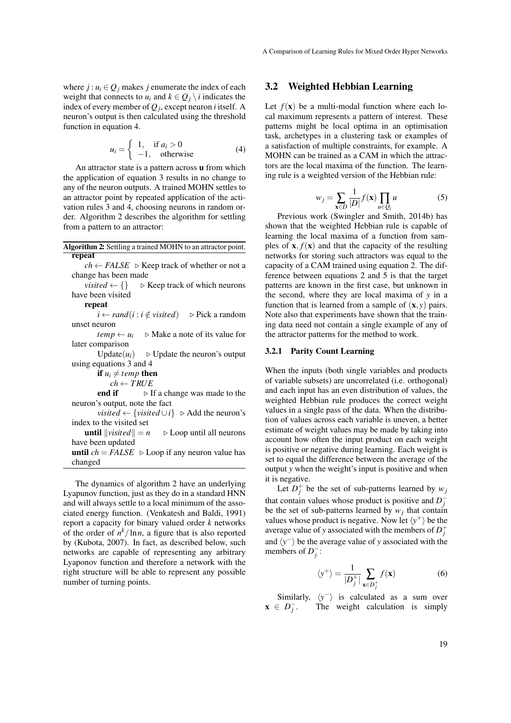where  $j : u_i \in Q_j$  makes *j* enumerate the index of each weight that connects to  $u_i$  and  $k \in Q_i \setminus i$  indicates the index of every member of *Q<sup>j</sup>* , except neuron *i* itself. A neuron's output is then calculated using the threshold function in equation 4.

$$
u_i = \begin{cases} 1, & \text{if } a_i > 0 \\ -1, & \text{otherwise} \end{cases}
$$
 (4)

An attractor state is a pattern across u from which the application of equation 3 results in no change to any of the neuron outputs. A trained MOHN settles to an attractor point by repeated application of the activation rules 3 and 4, choosing neurons in random order. Algorithm 2 describes the algorithm for settling from a pattern to an attractor:

|        | <b>Algorithm 2:</b> Settling a trained MOHN to an attractor point. |  |
|--------|--------------------------------------------------------------------|--|
| repeat |                                                                    |  |

 $ch$  ← *FALSE*  $\triangleright$  Keep track of whether or not a change has been made

*visited*  $\leftarrow \{\}$   $\triangleright$  Keep track of which neurons have been visited

#### repeat

*i* ← *rand*(*i* : *i*  $\notin$  *visited*)  $\triangleright$  Pick a random unset neuron

 $temp \leftarrow u_i$  .  $\triangleright$  Make a note of its value for later comparison

Update $(u_i)$   $\rightarrow$  Update the neuron's output using equations 3 and 4

if  $u_i \neq temp$  then

 $ch \leftarrow TRUE$ <br>**end if**  $\rightarrow$  **F** 

 $\triangleright$  If a change was made to the neuron's output, note the fact

*visited* ←  $\{visited \cup i\}$   $\triangleright$  Add the neuron's index to the visited set

**until**  $\|$ *visited* $\| = n$   $\triangleright$  Loop until all neurons have been updated

until  $ch = FALSE \geq \text{Loop if any neuron value has}$ changed

The dynamics of algorithm 2 have an underlying Lyapunov function, just as they do in a standard HNN and will always settle to a local minimum of the associated energy function. (Venkatesh and Baldi, 1991) report a capacity for binary valued order *k* networks of the order of  $n^k/\ln n$ , a figure that is also reported by (Kubota, 2007). In fact, as described below, such networks are capable of representing any arbitrary Lyaponov function and therefore a network with the right structure will be able to represent any possible number of turning points.

### 3.2 Weighted Hebbian Learning

Let  $f(\mathbf{x})$  be a multi-modal function where each local maximum represents a pattern of interest. These patterns might be local optima in an optimisation task, archetypes in a clustering task or examples of a satisfaction of multiple constraints, for example. A MOHN can be trained as a CAM in which the attractors are the local maxima of the function. The learning rule is a weighted version of the Hebbian rule:

$$
w_j = \sum_{\mathbf{x} \in D} \frac{1}{|D|} f(\mathbf{x}) \prod_{u \in Q_i} u \tag{5}
$$

Previous work (Swingler and Smith, 2014b) has shown that the weighted Hebbian rule is capable of learning the local maxima of a function from samples of  $\mathbf{x}$ ,  $f(\mathbf{x})$  and that the capacity of the resulting networks for storing such attractors was equal to the capacity of a CAM trained using equation 2. The difference between equations 2 and 5 is that the target patterns are known in the first case, but unknown in the second, where they are local maxima of *y* in a function that is learned from a sample of  $(\mathbf{x}, y)$  pairs. Note also that experiments have shown that the training data need not contain a single example of any of the attractor patterns for the method to work.

#### 3.2.1 Parity Count Learning

When the inputs (both single variables and products of variable subsets) are uncorrelated (i.e. orthogonal) and each input has an even distribution of values, the weighted Hebbian rule produces the correct weight values in a single pass of the data. When the distribution of values across each variable is uneven, a better estimate of weight values may be made by taking into account how often the input product on each weight is positive or negative during learning. Each weight is set to equal the difference between the average of the output *y* when the weight's input is positive and when it is negative.

Let  $D_j^+$  be the set of sub-patterns learned by  $w_j$ that contain values whose product is positive and  $D_j^$ be the set of sub-patterns learned by  $w_j$  that contain values whose product is negative. Now let  $\langle y^+ \rangle$  be the average value of *y* associated with the members of  $D_j^+$ and  $\langle y^{-} \rangle$  be the average value of *y* associated with the members of  $D_j^-$ :

$$
\langle y^{+} \rangle = \frac{1}{|D_{j}^{+}|} \sum_{\mathbf{x} \in D_{j}^{+}} f(\mathbf{x})
$$
 (6)

Similarly,  $\langle y^{-} \rangle$  is calculated as a sum over  $\mathbf{x} \in D_j^-$ The weight calculation is simply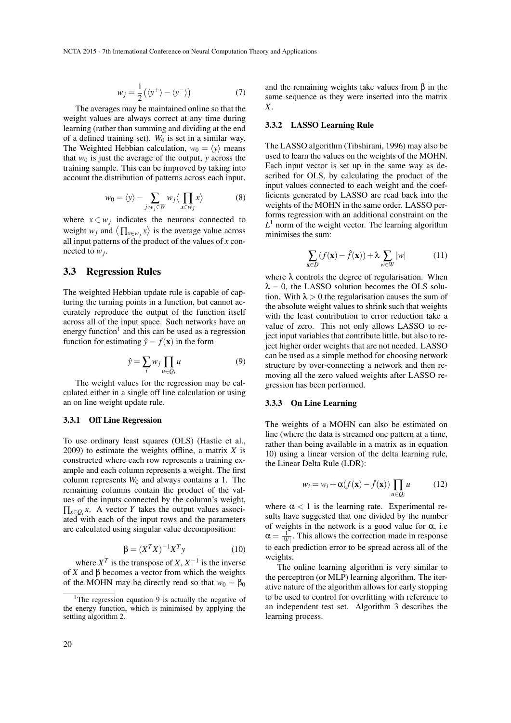$$
w_j = \frac{1}{2} (\langle y^+ \rangle - \langle y^- \rangle)
$$
 (7)

The averages may be maintained online so that the weight values are always correct at any time during learning (rather than summing and dividing at the end of a defined training set). *W*<sup>0</sup> is set in a similar way. The Weighted Hebbian calculation,  $w_0 = \langle y \rangle$  means that  $w_0$  is just the average of the output,  $y$  across the training sample. This can be improved by taking into account the distribution of patterns across each input.

$$
w_0 = \langle y \rangle - \sum_{j:w_j \in W} w_j \langle \prod_{x \in w_j} x \rangle \tag{8}
$$

where  $x \in w_j$  indicates the neurons connected to weight *w<sub>j</sub>* and  $\langle \prod_{x \in w_j} x \rangle$  is the average value across all input patterns of the product of the values of *x* connected to *w<sup>j</sup>* .

### 3.3 Regression Rules

The weighted Hebbian update rule is capable of capturing the turning points in a function, but cannot accurately reproduce the output of the function itself across all of the input space. Such networks have an energy function<sup>1</sup> and this can be used as a regression function for estimating  $\hat{y} = f(\mathbf{x})$  in the form

$$
\hat{y} = \sum_{i} w_j \prod_{u \in Q_i} u \tag{9}
$$

The weight values for the regression may be calculated either in a single off line calculation or using an on line weight update rule.

#### 3.3.1 Off Line Regression

To use ordinary least squares (OLS) (Hastie et al., 2009) to estimate the weights offline, a matrix *X* is constructed where each row represents a training example and each column represents a weight. The first column represents *W*<sup>0</sup> and always contains a 1. The remaining columns contain the product of the values of the inputs connected by the column's weight,  $\prod_{x \in Q_i} x$ . A vector *Y* takes the output values associated with each of the input rows and the parameters are calculated using singular value decomposition:

$$
\beta = (X^T X)^{-1} X^T y \tag{10}
$$

where  $X^T$  is the transpose of  $X, X^{-1}$  is the inverse of *X* and β becomes a vector from which the weights of the MOHN may be directly read so that  $w_0 = \beta_0$ 

and the remaining weights take values from  $\beta$  in the same sequence as they were inserted into the matrix *X*.

#### 3.3.2 LASSO Learning Rule

The LASSO algorithm (Tibshirani, 1996) may also be used to learn the values on the weights of the MOHN. Each input vector is set up in the same way as described for OLS, by calculating the product of the input values connected to each weight and the coefficients generated by LASSO are read back into the weights of the MOHN in the same order. LASSO performs regression with an additional constraint on the  $L<sup>1</sup>$  norm of the weight vector. The learning algorithm minimises the sum:

$$
\sum_{\mathbf{x}\in D} (f(\mathbf{x}) - \hat{f}(\mathbf{x})) + \lambda \sum_{w\in W} |w| \tag{11}
$$

where  $\lambda$  controls the degree of regularisation. When  $\lambda = 0$ , the LASSO solution becomes the OLS solution. With  $\lambda > 0$  the regularisation causes the sum of the absolute weight values to shrink such that weights with the least contribution to error reduction take a value of zero. This not only allows LASSO to reject input variables that contribute little, but also to reject higher order weights that are not needed. LASSO can be used as a simple method for choosing network structure by over-connecting a network and then removing all the zero valued weights after LASSO regression has been performed.

#### 3.3.3 On Line Learning

The weights of a MOHN can also be estimated on line (where the data is streamed one pattern at a time, rather than being available in a matrix as in equation 10) using a linear version of the delta learning rule, the Linear Delta Rule (LDR):

$$
w_i = w_i + \alpha(f(\mathbf{x}) - \hat{f}(\mathbf{x})) \prod_{u \in Q_i} u \tag{12}
$$

where  $\alpha$  < 1 is the learning rate. Experimental results have suggested that one divided by the number of weights in the network is a good value for  $\alpha$ , i.e  $\alpha = \frac{1}{|W|}$ . This allows the correction made in response to each prediction error to be spread across all of the weights.

The online learning algorithm is very similar to the perceptron (or MLP) learning algorithm. The iterative nature of the algorithm allows for early stopping to be used to control for overfitting with reference to an independent test set. Algorithm 3 describes the learning process.

<sup>&</sup>lt;sup>1</sup>The regression equation 9 is actually the negative of the energy function, which is minimised by applying the settling algorithm 2.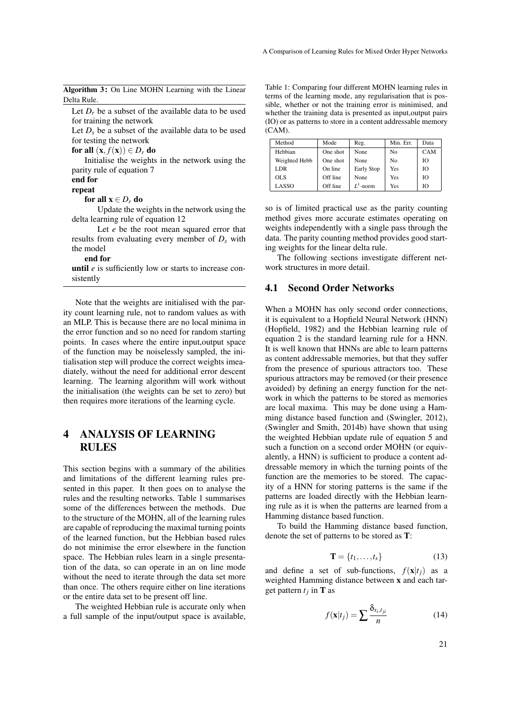Algorithm 3: On Line MOHN Learning with the Linear Delta Rule.

Let  $D_r$  be a subset of the available data to be used for training the network

Let  $D<sub>s</sub>$  be a subset of the available data to be used for testing the network

for all  $(\mathbf{x}, f(\mathbf{x})) \in D_r$  do

Initialise the weights in the network using the parity rule of equation 7

## end for

repeat

for all  $x \in D_r$  do

Update the weights in the network using the delta learning rule of equation 12

Let *e* be the root mean squared error that results from evaluating every member of *D<sup>s</sup>* with the model

### end for

until *e* is sufficiently low or starts to increase consistently

Note that the weights are initialised with the parity count learning rule, not to random values as with an MLP. This is because there are no local minima in the error function and so no need for random starting points. In cases where the entire input,output space of the function may be noiselessly sampled, the initialisation step will produce the correct weights imeadiately, without the need for additional error descent learning. The learning algorithm will work without the initialisation (the weights can be set to zero) but then requires more iterations of the learning cycle.

## 4 ANALYSIS OF LEARNING RULES

This section begins with a summary of the abilities and limitations of the different learning rules presented in this paper. It then goes on to analyse the rules and the resulting networks. Table 1 summarises some of the differences between the methods. Due to the structure of the MOHN, all of the learning rules are capable of reproducing the maximal turning points of the learned function, but the Hebbian based rules do not minimise the error elsewhere in the function space. The Hebbian rules learn in a single presentation of the data, so can operate in an on line mode without the need to iterate through the data set more than once. The others require either on line iterations or the entire data set to be present off line.

The weighted Hebbian rule is accurate only when a full sample of the input/output space is available,

Table 1: Comparing four different MOHN learning rules in terms of the learning mode, any regularisation that is possible, whether or not the training error is minimised, and whether the training data is presented as input,output pairs (IO) or as patterns to store in a content addressable memory (CAM).

| Method        | Mode     | Reg.        | Min. Err. | Data |
|---------------|----------|-------------|-----------|------|
| Hebbian       | One shot | None        | No        | CAM  |
| Weighted Hebb | One shot | None        | No        | Ю    |
| LDR.          | On line  | Early Stop  | Yes       | Ю    |
| <b>OLS</b>    | Off line | None        | Yes       | Ю    |
| LASSO         | Off line | $L^1$ -norm | Yes       | Ю    |

so is of limited practical use as the parity counting method gives more accurate estimates operating on weights independently with a single pass through the data. The parity counting method provides good starting weights for the linear delta rule.

The following sections investigate different network structures in more detail.

### 4.1 Second Order Networks

When a MOHN has only second order connections, it is equivalent to a Hopfield Neural Network (HNN) (Hopfield, 1982) and the Hebbian learning rule of equation 2 is the standard learning rule for a HNN. It is well known that HNNs are able to learn patterns as content addressable memories, but that they suffer from the presence of spurious attractors too. These spurious attractors may be removed (or their presence avoided) by defining an energy function for the network in which the patterns to be stored as memories are local maxima. This may be done using a Hamming distance based function and (Swingler, 2012), (Swingler and Smith, 2014b) have shown that using the weighted Hebbian update rule of equation 5 and such a function on a second order MOHN (or equivalently, a HNN) is sufficient to produce a content addressable memory in which the turning points of the function are the memories to be stored. The capacity of a HNN for storing patterns is the same if the patterns are loaded directly with the Hebbian learning rule as it is when the patterns are learned from a Hamming distance based function.

To build the Hamming distance based function, denote the set of patterns to be stored as T:

$$
\mathbf{T} = \{t_1, \dots, t_s\} \tag{13}
$$

and define a set of sub-functions,  $f(\mathbf{x}|t_i)$  as a weighted Hamming distance between x and each target pattern  $t_j$  in **T** as

$$
f(\mathbf{x}|t_j) = \sum \frac{\delta_{x_i, t_{ji}}}{n}
$$
 (14)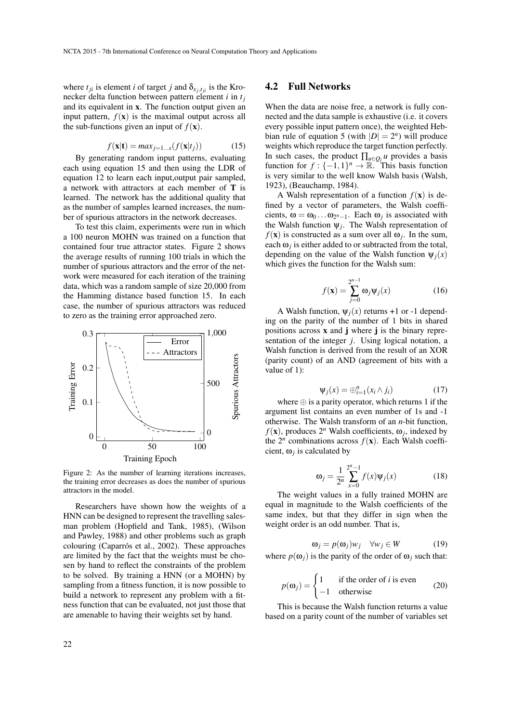where  $t_{ji}$  is element *i* of target *j* and  $\delta_{x_j, t_{ji}}$  is the Kronecker delta function between pattern element *i* in *t<sup>j</sup>* and its equivalent in x. The function output given an input pattern,  $f(\mathbf{x})$  is the maximal output across all the sub-functions given an input of  $f(\mathbf{x})$ .

$$
f(\mathbf{x}|\mathbf{t}) = max_{j=1...s}(f(\mathbf{x}|t_j))
$$
 (15)

By generating random input patterns, evaluating each using equation 15 and then using the LDR of equation 12 to learn each input,output pair sampled, a network with attractors at each member of T is learned. The network has the additional quality that as the number of samples learned increases, the number of spurious attractors in the network decreases.

To test this claim, experiments were run in which a 100 neuron MOHN was trained on a function that contained four true attractor states. Figure 2 shows the average results of running 100 trials in which the number of spurious attractors and the error of the network were measured for each iteration of the training data, which was a random sample of size 20,000 from the Hamming distance based function 15. In each case, the number of spurious attractors was reduced to zero as the training error approached zero.



Figure 2: As the number of learning iterations increases, the training error decreases as does the number of spurious attractors in the model.

Researchers have shown how the weights of a HNN can be designed to represent the travelling salesman problem (Hopfield and Tank, 1985), (Wilson and Pawley, 1988) and other problems such as graph colouring (Caparrós et al., 2002). These approaches are limited by the fact that the weights must be chosen by hand to reflect the constraints of the problem to be solved. By training a HNN (or a MOHN) by sampling from a fitness function, it is now possible to build a network to represent any problem with a fitness function that can be evaluated, not just those that are amenable to having their weights set by hand.

### 4.2 Full Networks

When the data are noise free, a network is fully connected and the data sample is exhaustive (i.e. it covers every possible input pattern once), the weighted Hebbian rule of equation 5 (with  $|D| = 2^n$ ) will produce weights which reproduce the target function perfectly. In such cases, the product  $\prod_{\mu \in Q_i} u$  provides a basis function for  $f: \{-1,1\}^n \to \mathbb{R}$ . This basis function is very similar to the well know Walsh basis (Walsh, 1923), (Beauchamp, 1984).

A Walsh representation of a function  $f(\mathbf{x})$  is defined by a vector of parameters, the Walsh coefficients,  $\omega = \omega_0 \dots \omega_{2^{n}-1}$ . Each  $\omega_j$  is associated with the Walsh function  $\psi_j$ . The Walsh representation of  $f(\mathbf{x})$  is constructed as a sum over all  $\omega_j$ . In the sum, each  $\omega_j$  is either added to or subtracted from the total, depending on the value of the Walsh function  $\psi_i(x)$ which gives the function for the Walsh sum:

$$
f(\mathbf{x}) = \sum_{j=0}^{2^{n-1}} \omega_j \psi_j(x)
$$
 (16)

A Walsh function,  $\Psi_i(x)$  returns +1 or -1 depending on the parity of the number of 1 bits in shared positions across  $x$  and  $j$  where  $j$  is the binary representation of the integer *j*. Using logical notation, a Walsh function is derived from the result of an XOR (parity count) of an AND (agreement of bits with a value of 1):

$$
\Psi_j(x) = \bigoplus_{i=1}^n (x_i \wedge j_i) \tag{17}
$$

where  $\oplus$  is a parity operator, which returns 1 if the argument list contains an even number of 1s and -1 otherwise. The Walsh transform of an *n*-bit function,  $f(\mathbf{x})$ , produces  $2^n$  Walsh coefficients,  $\omega_j$ , indexed by the  $2^n$  combinations across  $f(\mathbf{x})$ . Each Walsh coefficient,  $\omega_j$  is calculated by

$$
\omega_j = \frac{1}{2^n} \sum_{x=0}^{2^n - 1} f(x) \Psi_j(x)
$$
 (18)

The weight values in a fully trained MOHN are equal in magnitude to the Walsh coefficients of the same index, but that they differ in sign when the weight order is an odd number. That is,

$$
\omega_j = p(\omega_j) w_j \quad \forall w_j \in W \tag{19}
$$

where  $p(\omega_i)$  is the parity of the order of  $\omega_i$  such that:

$$
p(\mathbf{\omega}_j) = \begin{cases} 1 & \text{if the order of } i \text{ is even} \\ -1 & \text{otherwise} \end{cases}
$$
 (20)

This is because the Walsh function returns a value based on a parity count of the number of variables set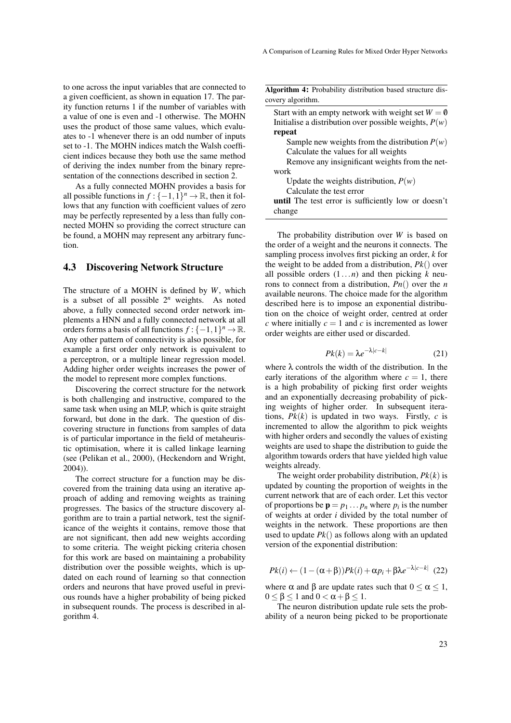to one across the input variables that are connected to a given coefficient, as shown in equation 17. The parity function returns 1 if the number of variables with a value of one is even and -1 otherwise. The MOHN uses the product of those same values, which evaluates to -1 whenever there is an odd number of inputs set to -1. The MOHN indices match the Walsh coefficient indices because they both use the same method of deriving the index number from the binary representation of the connections described in section 2.

As a fully connected MOHN provides a basis for all possible functions in  $f: \{-1,1\}^n \to \mathbb{R}$ , then it follows that any function with coefficient values of zero may be perfectly represented by a less than fully connected MOHN so providing the correct structure can be found, a MOHN may represent any arbitrary function.

### 4.3 Discovering Network Structure

The structure of a MOHN is defined by *W*, which is a subset of all possible 2*<sup>n</sup>* weights. As noted above, a fully connected second order network implements a HNN and a fully connected network at all orders forms a basis of all functions  $f: \{-1,1\}^n \to \mathbb{R}$ . Any other pattern of connectivity is also possible, for example a first order only network is equivalent to a perceptron, or a multiple linear regression model. Adding higher order weights increases the power of the model to represent more complex functions.

Discovering the correct structure for the network is both challenging and instructive, compared to the same task when using an MLP, which is quite straight forward, but done in the dark. The question of discovering structure in functions from samples of data is of particular importance in the field of metaheuristic optimisation, where it is called linkage learning (see (Pelikan et al., 2000), (Heckendorn and Wright, 2004)).

The correct structure for a function may be discovered from the training data using an iterative approach of adding and removing weights as training progresses. The basics of the structure discovery algorithm are to train a partial network, test the significance of the weights it contains, remove those that are not significant, then add new weights according to some criteria. The weight picking criteria chosen for this work are based on maintaining a probability distribution over the possible weights, which is updated on each round of learning so that connection orders and neurons that have proved useful in previous rounds have a higher probability of being picked in subsequent rounds. The process is described in algorithm 4.

Algorithm 4: Probability distribution based structure dis-

| covery algorithm.                                           |
|-------------------------------------------------------------|
| Start with an empty network with weight set $W = \emptyset$ |
| Initialise a distribution over possible weights, $P(w)$     |
| repeat                                                      |
| Sample new weights from the distribution $P(w)$             |
| Calculate the values for all weights                        |
| Remove any insignificant weights from the net-              |
| work                                                        |
| Update the weights distribution, $P(w)$                     |
| Calculate the test error                                    |
| <b>until</b> The test error is sufficiently low or doesn't  |
| change                                                      |

The probability distribution over *W* is based on the order of a weight and the neurons it connects. The sampling process involves first picking an order, *k* for the weight to be added from a distribution, *Pk*() over all possible orders (1...*n*) and then picking *k* neurons to connect from a distribution, *Pn*() over the *n* available neurons. The choice made for the algorithm described here is to impose an exponential distribution on the choice of weight order, centred at order *c* where initially  $c = 1$  and *c* is incremented as lower order weights are either used or discarded.

$$
Pk(k) = \lambda e^{-\lambda|c-k|} \tag{21}
$$

where  $\lambda$  controls the width of the distribution. In the early iterations of the algorithm where  $c = 1$ , there is a high probability of picking first order weights and an exponentially decreasing probability of picking weights of higher order. In subsequent iterations,  $Pk(k)$  is updated in two ways. Firstly,  $c$  is incremented to allow the algorithm to pick weights with higher orders and secondly the values of existing weights are used to shape the distribution to guide the algorithm towards orders that have yielded high value weights already.

The weight order probability distribution, *Pk*(*k*) is updated by counting the proportion of weights in the current network that are of each order. Let this vector of proportions be  $\mathbf{p} = p_1 \dots p_n$  where  $p_i$  is the number of weights at order *i* divided by the total number of weights in the network. These proportions are then used to update  $Pk()$  as follows along with an updated version of the exponential distribution:

$$
Pk(i) \leftarrow (1 - (\alpha + \beta))Pk(i) + \alpha p_i + \beta \lambda e^{-\lambda |c - k|} (22)
$$

where  $\alpha$  and  $\beta$  are update rates such that  $0 \leq \alpha \leq 1$ ,  $0 \leq \beta \leq 1$  and  $0 < \alpha + \beta \leq 1$ .

The neuron distribution update rule sets the probability of a neuron being picked to be proportionate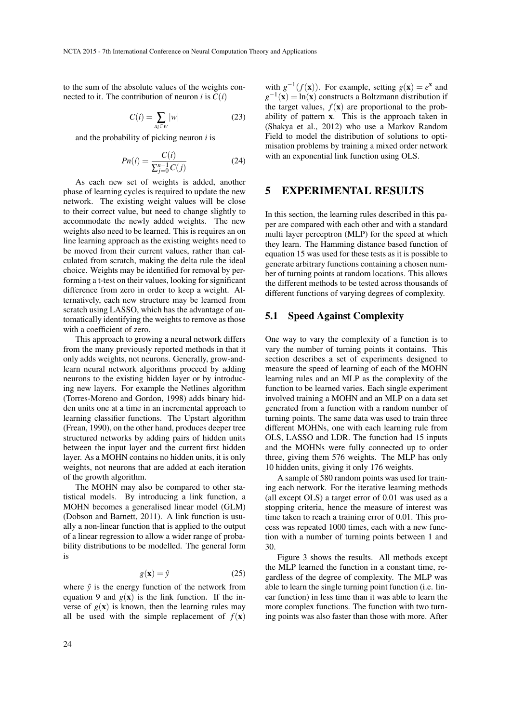to the sum of the absolute values of the weights connected to it. The contribution of neuron *i* is  $C(i)$ 

$$
C(i) = \sum_{x_i \in w} |w| \tag{23}
$$

and the probability of picking neuron *i* is

$$
Pn(i) = \frac{C(i)}{\sum_{j=0}^{n-1} C(j)}\tag{24}
$$

As each new set of weights is added, another phase of learning cycles is required to update the new network. The existing weight values will be close to their correct value, but need to change slightly to accommodate the newly added weights. The new weights also need to be learned. This is requires an on line learning approach as the existing weights need to be moved from their current values, rather than calculated from scratch, making the delta rule the ideal choice. Weights may be identified for removal by performing a t-test on their values, looking for significant difference from zero in order to keep a weight. Alternatively, each new structure may be learned from scratch using LASSO, which has the advantage of automatically identifying the weights to remove as those with a coefficient of zero.

This approach to growing a neural network differs from the many previously reported methods in that it only adds weights, not neurons. Generally, grow-andlearn neural network algorithms proceed by adding neurons to the existing hidden layer or by introducing new layers. For example the Netlines algorithm (Torres-Moreno and Gordon, 1998) adds binary hidden units one at a time in an incremental approach to learning classifier functions. The Upstart algorithm (Frean, 1990), on the other hand, produces deeper tree structured networks by adding pairs of hidden units between the input layer and the current first hidden layer. As a MOHN contains no hidden units, it is only weights, not neurons that are added at each iteration of the growth algorithm.

The MOHN may also be compared to other statistical models. By introducing a link function, a MOHN becomes a generalised linear model (GLM) (Dobson and Barnett, 2011). A link function is usually a non-linear function that is applied to the output of a linear regression to allow a wider range of probability distributions to be modelled. The general form is

$$
g(\mathbf{x}) = \hat{y} \tag{25}
$$

where  $\hat{y}$  is the energy function of the network from equation 9 and  $g(x)$  is the link function. If the inverse of  $g(x)$  is known, then the learning rules may all be used with the simple replacement of  $f(\mathbf{x})$ 

with  $g^{-1}(f(\mathbf{x}))$ . For example, setting  $g(\mathbf{x}) = e^{\mathbf{x}}$  and  $g^{-1}(\mathbf{x}) = \ln(\mathbf{x})$  constructs a Boltzmann distribution if the target values,  $f(\mathbf{x})$  are proportional to the probability of pattern x. This is the approach taken in (Shakya et al., 2012) who use a Markov Random Field to model the distribution of solutions to optimisation problems by training a mixed order network with an exponential link function using OLS.

## 5 EXPERIMENTAL RESULTS

In this section, the learning rules described in this paper are compared with each other and with a standard multi layer perceptron (MLP) for the speed at which they learn. The Hamming distance based function of equation 15 was used for these tests as it is possible to generate arbitrary functions containing a chosen number of turning points at random locations. This allows the different methods to be tested across thousands of different functions of varying degrees of complexity.

### 5.1 Speed Against Complexity

One way to vary the complexity of a function is to vary the number of turning points it contains. This section describes a set of experiments designed to measure the speed of learning of each of the MOHN learning rules and an MLP as the complexity of the function to be learned varies. Each single experiment involved training a MOHN and an MLP on a data set generated from a function with a random number of turning points. The same data was used to train three different MOHNs, one with each learning rule from OLS, LASSO and LDR. The function had 15 inputs and the MOHNs were fully connected up to order three, giving them 576 weights. The MLP has only 10 hidden units, giving it only 176 weights.

A sample of 580 random points was used for training each network. For the iterative learning methods (all except OLS) a target error of 0.01 was used as a stopping criteria, hence the measure of interest was time taken to reach a training error of 0.01. This process was repeated 1000 times, each with a new function with a number of turning points between 1 and 30.

Figure 3 shows the results. All methods except the MLP learned the function in a constant time, regardless of the degree of complexity. The MLP was able to learn the single turning point function (i.e. linear function) in less time than it was able to learn the more complex functions. The function with two turning points was also faster than those with more. After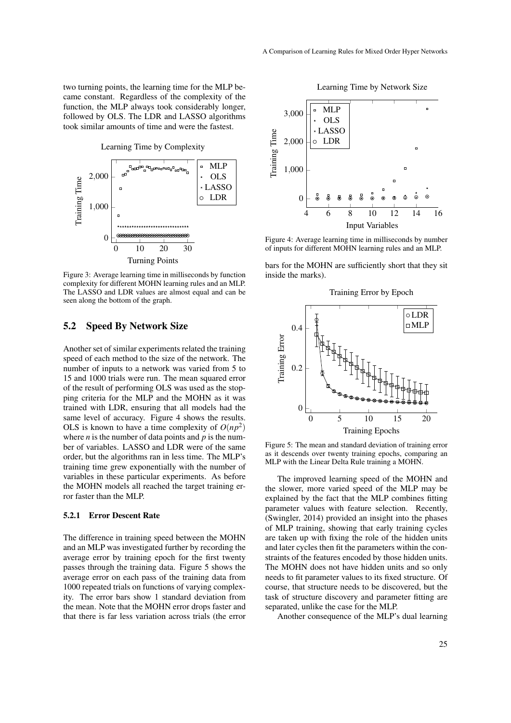two turning points, the learning time for the MLP became constant. Regardless of the complexity of the function, the MLP always took considerably longer, followed by OLS. The LDR and LASSO algorithms took similar amounts of time and were the fastest.



Figure 3: Average learning time in milliseconds by function complexity for different MOHN learning rules and an MLP. The LASSO and LDR values are almost equal and can be seen along the bottom of the graph.

### 5.2 Speed By Network Size

Another set of similar experiments related the training speed of each method to the size of the network. The number of inputs to a network was varied from 5 to 15 and 1000 trials were run. The mean squared error of the result of performing OLS was used as the stopping criteria for the MLP and the MOHN as it was trained with LDR, ensuring that all models had the same level of accuracy. Figure 4 shows the results. OLS is known to have a time complexity of  $O(np^2)$ where  $n$  is the number of data points and  $p$  is the number of variables. LASSO and LDR were of the same order, but the algorithms ran in less time. The MLP's training time grew exponentially with the number of variables in these particular experiments. As before the MOHN models all reached the target training error faster than the MLP.

#### 5.2.1 Error Descent Rate

The difference in training speed between the MOHN and an MLP was investigated further by recording the average error by training epoch for the first twenty passes through the training data. Figure 5 shows the average error on each pass of the training data from 1000 repeated trials on functions of varying complexity. The error bars show 1 standard deviation from the mean. Note that the MOHN error drops faster and that there is far less variation across trials (the error



Figure 4: Average learning time in milliseconds by number of inputs for different MOHN learning rules and an MLP.

bars for the MOHN are sufficiently short that they sit inside the marks).



Figure 5: The mean and standard deviation of training error as it descends over twenty training epochs, comparing an MLP with the Linear Delta Rule training a MOHN.

The improved learning speed of the MOHN and the slower, more varied speed of the MLP may be explained by the fact that the MLP combines fitting parameter values with feature selection. Recently, (Swingler, 2014) provided an insight into the phases of MLP training, showing that early training cycles are taken up with fixing the role of the hidden units and later cycles then fit the parameters within the constraints of the features encoded by those hidden units. The MOHN does not have hidden units and so only needs to fit parameter values to its fixed structure. Of course, that structure needs to be discovered, but the task of structure discovery and parameter fitting are separated, unlike the case for the MLP.

Another consequence of the MLP's dual learning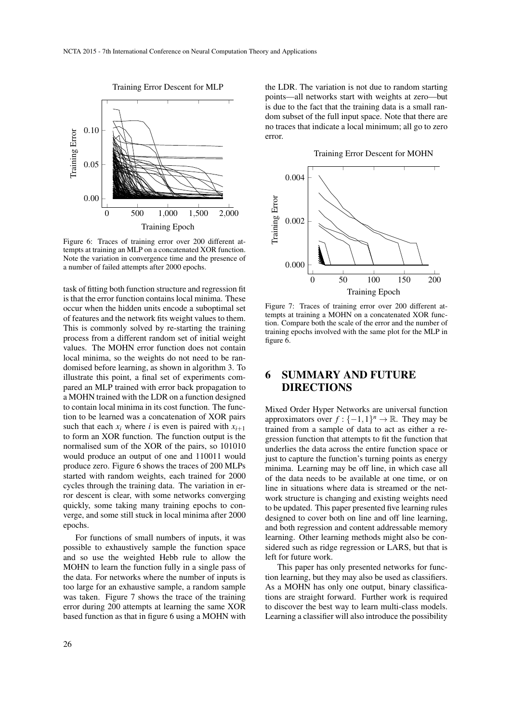

Figure 6: Traces of training error over 200 different attempts at training an MLP on a concatenated XOR function. Note the variation in convergence time and the presence of a number of failed attempts after 2000 epochs.

task of fitting both function structure and regression fit is that the error function contains local minima. These occur when the hidden units encode a suboptimal set of features and the network fits weight values to them. This is commonly solved by re-starting the training process from a different random set of initial weight values. The MOHN error function does not contain local minima, so the weights do not need to be randomised before learning, as shown in algorithm 3. To illustrate this point, a final set of experiments compared an MLP trained with error back propagation to a MOHN trained with the LDR on a function designed to contain local minima in its cost function. The function to be learned was a concatenation of XOR pairs such that each  $x_i$  where *i* is even is paired with  $x_{i+1}$ to form an XOR function. The function output is the normalised sum of the XOR of the pairs, so 101010 would produce an output of one and 110011 would produce zero. Figure 6 shows the traces of 200 MLPs started with random weights, each trained for 2000 cycles through the training data. The variation in error descent is clear, with some networks converging quickly, some taking many training epochs to converge, and some still stuck in local minima after 2000 epochs.

For functions of small numbers of inputs, it was possible to exhaustively sample the function space and so use the weighted Hebb rule to allow the MOHN to learn the function fully in a single pass of the data. For networks where the number of inputs is too large for an exhaustive sample, a random sample was taken. Figure 7 shows the trace of the training error during 200 attempts at learning the same XOR based function as that in figure 6 using a MOHN with

26

the LDR. The variation is not due to random starting points—all networks start with weights at zero—but is due to the fact that the training data is a small random subset of the full input space. Note that there are no traces that indicate a local minimum; all go to zero error.

Training Error Descent for MOHN



Figure 7: Traces of training error over 200 different attempts at training a MOHN on a concatenated XOR function. Compare both the scale of the error and the number of training epochs involved with the same plot for the MLP in figure 6.

## 6 SUMMARY AND FUTURE DIRECTIONS

Mixed Order Hyper Networks are universal function approximators over  $f: \{-1,1\}^n \to \mathbb{R}$ . They may be trained from a sample of data to act as either a regression function that attempts to fit the function that underlies the data across the entire function space or just to capture the function's turning points as energy minima. Learning may be off line, in which case all of the data needs to be available at one time, or on line in situations where data is streamed or the network structure is changing and existing weights need to be updated. This paper presented five learning rules designed to cover both on line and off line learning, and both regression and content addressable memory learning. Other learning methods might also be considered such as ridge regression or LARS, but that is left for future work.

This paper has only presented networks for function learning, but they may also be used as classifiers. As a MOHN has only one output, binary classifications are straight forward. Further work is required to discover the best way to learn multi-class models. Learning a classifier will also introduce the possibility